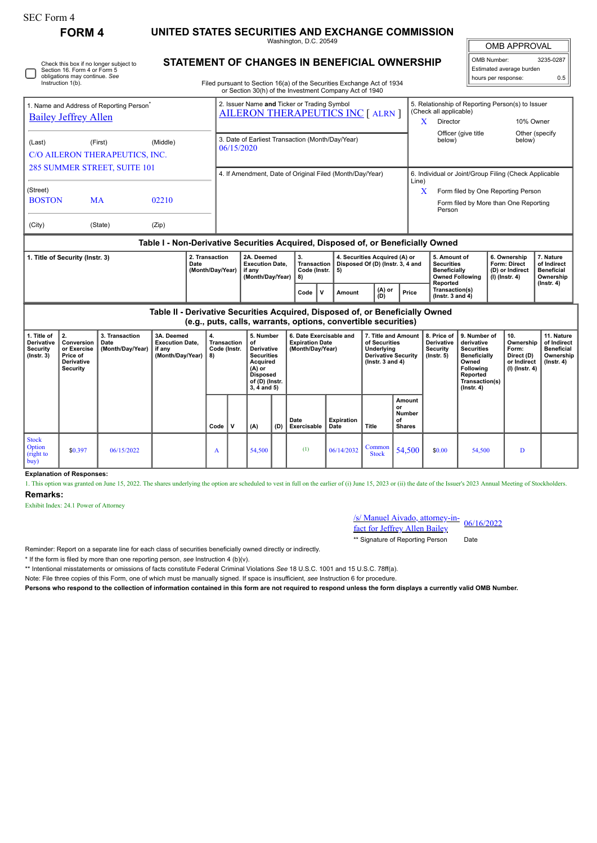| <b>SEC Form 4</b>                                                                                                            | <b>FORM4</b>                                                                 |                                            |                                                                                  |                                                                            |                                                                                                                                                                                  |                                                                                                                                           |     |                                                                       |                                                                |                                                                                                        |                                                      |                                                                                                                                                              |                                                                                                                                         |                                                               |                                                                            |                                                                           |  |  |
|------------------------------------------------------------------------------------------------------------------------------|------------------------------------------------------------------------------|--------------------------------------------|----------------------------------------------------------------------------------|----------------------------------------------------------------------------|----------------------------------------------------------------------------------------------------------------------------------------------------------------------------------|-------------------------------------------------------------------------------------------------------------------------------------------|-----|-----------------------------------------------------------------------|----------------------------------------------------------------|--------------------------------------------------------------------------------------------------------|------------------------------------------------------|--------------------------------------------------------------------------------------------------------------------------------------------------------------|-----------------------------------------------------------------------------------------------------------------------------------------|---------------------------------------------------------------|----------------------------------------------------------------------------|---------------------------------------------------------------------------|--|--|
|                                                                                                                              |                                                                              |                                            |                                                                                  | UNITED STATES SECURITIES AND EXCHANGE COMMISSION<br>Washington, D.C. 20549 |                                                                                                                                                                                  |                                                                                                                                           |     |                                                                       |                                                                |                                                                                                        |                                                      |                                                                                                                                                              | <b>OMB APPROVAL</b>                                                                                                                     |                                                               |                                                                            |                                                                           |  |  |
| Check this box if no longer subject to<br>Section 16. Form 4 or Form 5<br>obligations may continue. See<br>Instruction 1(b). |                                                                              |                                            |                                                                                  |                                                                            | STATEMENT OF CHANGES IN BENEFICIAL OWNERSHIP<br>Filed pursuant to Section 16(a) of the Securities Exchange Act of 1934<br>or Section 30(h) of the Investment Company Act of 1940 |                                                                                                                                           |     |                                                                       |                                                                |                                                                                                        |                                                      |                                                                                                                                                              | OMB Number:<br>3235-0287<br>Estimated average burden<br>hours per response:<br>0.5                                                      |                                                               |                                                                            |                                                                           |  |  |
| 1. Name and Address of Reporting Person <sup>7</sup><br><b>Bailey Jeffrey Allen</b>                                          |                                                                              |                                            |                                                                                  |                                                                            | 2. Issuer Name and Ticker or Trading Symbol<br><b>AILERON THERAPEUTICS INC [ ALRN ]</b>                                                                                          |                                                                                                                                           |     |                                                                       |                                                                |                                                                                                        |                                                      | (Check all applicable)<br>Director<br>X                                                                                                                      |                                                                                                                                         | 5. Relationship of Reporting Person(s) to Issuer<br>10% Owner |                                                                            |                                                                           |  |  |
| (Middle)<br>(Last)<br>(First)<br>C/O AILERON THERAPEUTICS, INC.                                                              |                                                                              |                                            |                                                                                  |                                                                            | 3. Date of Earliest Transaction (Month/Day/Year)<br>06/15/2020                                                                                                                   |                                                                                                                                           |     |                                                                       |                                                                |                                                                                                        |                                                      | Officer (give title<br>Other (specify<br>below)<br>below)                                                                                                    |                                                                                                                                         |                                                               |                                                                            |                                                                           |  |  |
| 285 SUMMER STREET, SUITE 101<br>(Street)<br><b>BOSTON</b><br><b>MA</b><br>02210                                              |                                                                              |                                            |                                                                                  |                                                                            | 4. If Amendment, Date of Original Filed (Month/Day/Year)                                                                                                                         |                                                                                                                                           |     |                                                                       |                                                                |                                                                                                        |                                                      | 6. Individual or Joint/Group Filing (Check Applicable<br>Line)<br>X<br>Form filed by One Reporting Person<br>Form filed by More than One Reporting<br>Person |                                                                                                                                         |                                                               |                                                                            |                                                                           |  |  |
| (City)<br>(State)<br>(Zip)                                                                                                   |                                                                              |                                            |                                                                                  |                                                                            |                                                                                                                                                                                  |                                                                                                                                           |     |                                                                       |                                                                |                                                                                                        |                                                      |                                                                                                                                                              |                                                                                                                                         |                                                               |                                                                            |                                                                           |  |  |
|                                                                                                                              |                                                                              |                                            | Table I - Non-Derivative Securities Acquired, Disposed of, or Beneficially Owned |                                                                            |                                                                                                                                                                                  |                                                                                                                                           |     |                                                                       |                                                                |                                                                                                        |                                                      |                                                                                                                                                              |                                                                                                                                         |                                                               |                                                                            |                                                                           |  |  |
| 2. Transaction<br>1. Title of Security (Instr. 3)<br>Date<br>(Month/Day/Year)                                                |                                                                              |                                            |                                                                                  |                                                                            | 2A. Deemed<br><b>Execution Date.</b><br>if any<br>(Month/Day/Year)                                                                                                               |                                                                                                                                           |     | 3.<br><b>Transaction</b><br>Code (Instr.<br>5)<br>8)                  |                                                                | 4. Securities Acquired (A) or<br>Disposed Of (D) (Instr. 3, 4 and                                      |                                                      | 5. Amount of<br><b>Securities</b><br><b>Beneficially</b><br><b>Owned Following</b>                                                                           |                                                                                                                                         |                                                               | 6. Ownership<br><b>Form: Direct</b><br>(D) or Indirect<br>$(I)$ (Instr. 4) | 7. Nature<br>of Indirect<br><b>Beneficial</b><br>Ownership                |  |  |
|                                                                                                                              |                                                                              |                                            |                                                                                  |                                                                            |                                                                                                                                                                                  |                                                                                                                                           |     | Code<br>$\mathbf{v}$                                                  | Amount                                                         | (A) or<br>(D)                                                                                          | Price                                                | Reported<br>Transaction(s)<br>( $lnstr. 3 and 4$ )                                                                                                           |                                                                                                                                         |                                                               |                                                                            | $($ Instr. 4 $)$                                                          |  |  |
|                                                                                                                              |                                                                              |                                            | Table II - Derivative Securities Acquired, Disposed of, or Beneficially Owned    |                                                                            |                                                                                                                                                                                  |                                                                                                                                           |     |                                                                       | (e.g., puts, calls, warrants, options, convertible securities) |                                                                                                        |                                                      |                                                                                                                                                              |                                                                                                                                         |                                                               |                                                                            |                                                                           |  |  |
| 1. Title of<br><b>Derivative</b><br><b>Security</b><br>$($ Instr. 3 $)$                                                      | 2.<br>Conversion<br>or Exercise<br>Price of<br>Derivative<br><b>Security</b> | 3. Transaction<br>Date<br>(Month/Day/Year) | 3A. Deemed<br><b>Execution Date.</b><br>if any<br>(Month/Day/Year)               | 4.<br>8)                                                                   | <b>Transaction</b><br>Code (Instr.                                                                                                                                               | 5. Number<br>of<br><b>Derivative</b><br><b>Securities</b><br>Acquired<br>$(A)$ or<br><b>Disposed</b><br>of (D) (Instr.<br>$3, 4$ and $5)$ |     | 6. Date Exercisable and<br><b>Expiration Date</b><br>(Month/Day/Year) |                                                                | 7. Title and Amount<br>of Securities<br>Underlying<br><b>Derivative Security</b><br>( $lnstr.3$ and 4) |                                                      | 8. Price of<br><b>Derivative</b><br>Security<br>$($ lnstr. 5 $)$                                                                                             | 9. Number of<br>derivative<br><b>Securities</b><br>Beneficially<br>Owned<br>Following<br>Reported<br>Transaction(s)<br>$($ Instr. 4 $)$ |                                                               | 10.<br>Ownership<br>Form:<br>Direct (D)<br>or Indirect<br>(I) (Instr. 4)   | 11. Nature<br>of Indirect<br><b>Beneficial</b><br>Ownership<br>(Instr. 4) |  |  |
|                                                                                                                              |                                                                              |                                            |                                                                                  | Code                                                                       | $\mathsf{v}$                                                                                                                                                                     | (A)                                                                                                                                       | (D) | Date<br>Exercisable                                                   | <b>Expiration</b><br>Date                                      | Title                                                                                                  | Amount<br><b>or</b><br>Number<br>of<br><b>Shares</b> |                                                                                                                                                              |                                                                                                                                         |                                                               |                                                                            |                                                                           |  |  |
| <b>Stock</b><br>Option<br>(right to<br>buv)                                                                                  | \$0.397                                                                      | 06/15/2022                                 |                                                                                  | A                                                                          |                                                                                                                                                                                  | 54,500                                                                                                                                    |     | (1)                                                                   | 06/14/2032                                                     | Common<br><b>Stock</b>                                                                                 | 54,500                                               | \$0.00                                                                                                                                                       | 54,500                                                                                                                                  |                                                               | D                                                                          |                                                                           |  |  |

**Explanation of Responses:**

1. This option was granted on June 15, 2022. The shares underlying the option are scheduled to vest in full on the earlier of (i) June 15, 2023 or (ii) the date of the Issuer's 2023 Annual Meeting of Stockholders. **Remarks:**

Exhibit Index: 24.1 Power of Attorney

/s/ Manuel Aivado, attorney-in-**Fact for Jeffrey Allen Bailey** 06/16/2022

\*\* Signature of Reporting Person Date

Reminder: Report on a separate line for each class of securities beneficially owned directly or indirectly.

\* If the form is filed by more than one reporting person, *see* Instruction 4 (b)(v).

\*\* Intentional misstatements or omissions of facts constitute Federal Criminal Violations *See* 18 U.S.C. 1001 and 15 U.S.C. 78ff(a).

Note: File three copies of this Form, one of which must be manually signed. If space is insufficient, *see* Instruction 6 for procedure.

**Persons who respond to the collection of information contained in this form are not required to respond unless the form displays a currently valid OMB Number.**